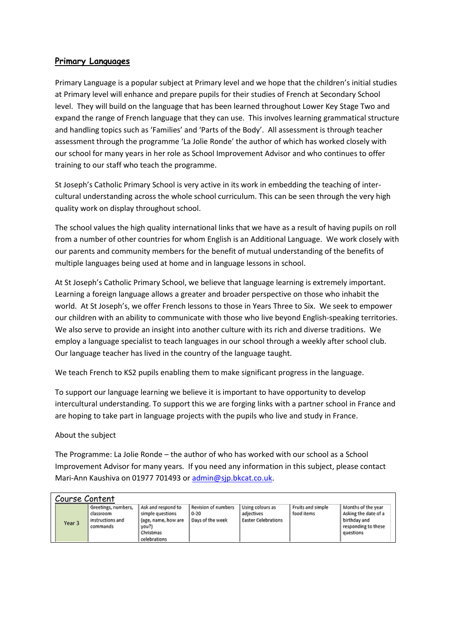## **Primary Languages**

Primary Language is a popular subject at Primary level and we hope that the children's initial studies at Primary level will enhance and prepare pupils for their studies of French at Secondary School level. They will build on the language that has been learned throughout Lower Key Stage Two and expand the range of French language that they can use. This involves learning grammatical structure and handling topics such as 'Families' and 'Parts of the Body'. All assessment is through teacher assessment through the programme 'La Jolie Ronde' the author of which has worked closely with our school for many years in her role as School Improvement Advisor and who continues to offer training to our staff who teach the programme.

St Joseph's Catholic Primary School is very active in its work in embedding the teaching of intercultural understanding across the whole school curriculum. This can be seen through the very high quality work on display throughout school.

The school values the high quality international links that we have as a result of having pupils on roll from a number of other countries for whom English is an Additional Language. We work closely with our parents and community members for the benefit of mutual understanding of the benefits of multiple languages being used at home and in language lessons in school.

At St Joseph's Catholic Primary School, we believe that language learning is extremely important. Learning a foreign language allows a greater and broader perspective on those who inhabit the world. At St Joseph's, we offer French lessons to those in Years Three to Six. We seek to empower our children with an ability to communicate with those who live beyond English-speaking territories. We also serve to provide an insight into another culture with its rich and diverse traditions. We employ a language specialist to teach languages in our school through a weekly after school club. Our language teacher has lived in the country of the language taught.

We teach French to KS2 pupils enabling them to make significant progress in the language.

To support our language learning we believe it is important to have opportunity to develop intercultural understanding. To support this we are forging links with a partner school in France and are hoping to take part in language projects with the pupils who live and study in France.

## About the subject

The Programme: La Jolie Ronde – the author of who has worked with our school as a School Improvement Advisor for many years. If you need any information in this subject, please contact Mari-Ann Kaushiva on 01977 701493 or [admin@sjp.bkcat.co.uk.](mailto:admin@sjp.bkcat.co.uk)

| Course Content |                                                                  |                                                                                                     |                                                     |                                                              |                                 |                                                                                                |  |  |  |  |  |
|----------------|------------------------------------------------------------------|-----------------------------------------------------------------------------------------------------|-----------------------------------------------------|--------------------------------------------------------------|---------------------------------|------------------------------------------------------------------------------------------------|--|--|--|--|--|
| Year 3         | Greetings, numbers,<br>classroom<br>instructions and<br>commands | Ask and respond to<br>simple questions<br>(age, name, how are<br>you?)<br>Christmas<br>celebrations | Revision of numbers<br>$0 - 20$<br>Days of the week | Using colours as<br>adjectives<br><b>Easter Celebrations</b> | Fruits and simple<br>food items | Months of the year<br>Asking the date of a<br>birthday and<br>responding to these<br>questions |  |  |  |  |  |